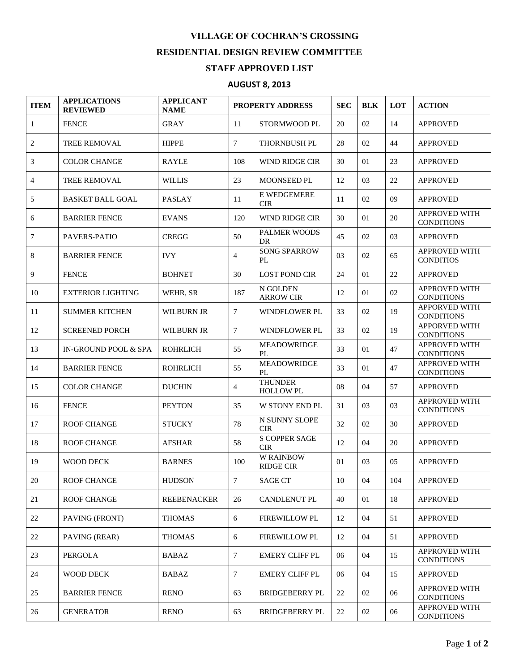## **VILLAGE OF COCHRAN'S CROSSING RESIDENTIAL DESIGN REVIEW COMMITTEE**

## **STAFF APPROVED LIST**

## **AUGUST 8, 2013**

| <b>ITEM</b>    | <b>APPLICATIONS</b><br><b>REVIEWED</b> | <b>APPLICANT</b><br><b>NAME</b> | <b>PROPERTY ADDRESS</b> |                                      | <b>SEC</b> | <b>BLK</b> | <b>LOT</b> | <b>ACTION</b>                             |
|----------------|----------------------------------------|---------------------------------|-------------------------|--------------------------------------|------------|------------|------------|-------------------------------------------|
| $\mathbf{1}$   | <b>FENCE</b>                           | <b>GRAY</b>                     | 11                      | STORMWOOD PL                         | 20         | 02         | 14         | <b>APPROVED</b>                           |
| 2              | TREE REMOVAL                           | <b>HIPPE</b>                    | 7                       | <b>THORNBUSH PL</b>                  | 28         | 02         | 44         | <b>APPROVED</b>                           |
| 3              | <b>COLOR CHANGE</b>                    | <b>RAYLE</b>                    | 108                     | WIND RIDGE CIR                       | 30         | 01         | 23         | <b>APPROVED</b>                           |
| $\overline{4}$ | TREE REMOVAL                           | <b>WILLIS</b>                   | 23                      | MOONSEED PL                          | 12         | 03         | 22         | <b>APPROVED</b>                           |
| 5              | <b>BASKET BALL GOAL</b>                | <b>PASLAY</b>                   | 11                      | E WEDGEMERE<br><b>CIR</b>            | 11         | 02         | 09         | <b>APPROVED</b>                           |
| 6              | <b>BARRIER FENCE</b>                   | <b>EVANS</b>                    | 120                     | WIND RIDGE CIR                       | 30         | 01         | 20         | APPROVED WITH<br><b>CONDITIONS</b>        |
| 7              | PAVERS-PATIO                           | <b>CREGG</b>                    | 50                      | PALMER WOODS<br><b>DR</b>            | 45         | 02         | 03         | <b>APPROVED</b>                           |
| 8              | <b>BARRIER FENCE</b>                   | <b>IVY</b>                      | $\overline{4}$          | <b>SONG SPARROW</b><br>PL            | 03         | 02         | 65         | APPROVED WITH<br><b>CONDITIOS</b>         |
| 9              | <b>FENCE</b>                           | <b>BOHNET</b>                   | 30                      | <b>LOST POND CIR</b>                 | 24         | 01         | 22         | <b>APPROVED</b>                           |
| 10             | <b>EXTERIOR LIGHTING</b>               | WEHR, SR                        | 187                     | N GOLDEN<br><b>ARROW CIR</b>         | 12         | 01         | 02         | APPROVED WITH<br><b>CONDITIONS</b>        |
| 11             | <b>SUMMER KITCHEN</b>                  | WILBURN JR                      | 7                       | WINDFLOWER PL                        | 33         | 02         | 19         | APPORVED WITH<br><b>CONDITIONS</b>        |
| 12             | <b>SCREENED PORCH</b>                  | <b>WILBURN JR</b>               | $\tau$                  | WINDFLOWER PL                        | 33         | 02         | 19         | <b>APPORVED WITH</b><br><b>CONDITIONS</b> |
| 13             | <b>IN-GROUND POOL &amp; SPA</b>        | <b>ROHRLICH</b>                 | 55                      | <b>MEADOWRIDGE</b><br>PL             | 33         | 01         | 47         | APPROVED WITH<br><b>CONDITIONS</b>        |
| 14             | <b>BARRIER FENCE</b>                   | <b>ROHRLICH</b>                 | 55                      | <b>MEADOWRIDGE</b><br>PL             | 33         | 01         | 47         | APPROVED WITH<br><b>CONDITIONS</b>        |
| 15             | <b>COLOR CHANGE</b>                    | <b>DUCHIN</b>                   | $\overline{4}$          | <b>THUNDER</b><br><b>HOLLOW PL</b>   | 08         | 04         | 57         | <b>APPROVED</b>                           |
| 16             | <b>FENCE</b>                           | <b>PEYTON</b>                   | 35                      | W STONY END PL                       | 31         | 03         | 03         | <b>APPROVED WITH</b><br><b>CONDITIONS</b> |
| 17             | <b>ROOF CHANGE</b>                     | <b>STUCKY</b>                   | 78                      | N SUNNY SLOPE<br><b>CIR</b>          | 32         | 02         | 30         | <b>APPROVED</b>                           |
| 18             | <b>ROOF CHANGE</b>                     | <b>AFSHAR</b>                   | 58                      | <b>S COPPER SAGE</b><br><b>CIR</b>   | 12         | 04         | 20         | <b>APPROVED</b>                           |
| 19             | <b>WOOD DECK</b>                       | <b>BARNES</b>                   | 100                     | <b>W RAINBOW</b><br><b>RIDGE CIR</b> | 01         | 03         | 05         | <b>APPROVED</b>                           |
| $20\,$         | ROOF CHANGE                            | <b>HUDSON</b>                   | 7                       | <b>SAGE CT</b>                       | 10         | 04         | 104        | <b>APPROVED</b>                           |
| $21\,$         | <b>ROOF CHANGE</b>                     | <b>REEBENACKER</b>              | 26                      | <b>CANDLENUT PL</b>                  | 40         | 01         | 18         | <b>APPROVED</b>                           |
| $22\,$         | PAVING (FRONT)                         | <b>THOMAS</b>                   | 6                       | <b>FIREWILLOW PL</b>                 | 12         | 04         | 51         | <b>APPROVED</b>                           |
| 22             | PAVING (REAR)                          | <b>THOMAS</b>                   | 6                       | FIREWILLOW PL                        | 12         | 04         | 51         | <b>APPROVED</b>                           |
| 23             | <b>PERGOLA</b>                         | BABAZ                           | 7                       | <b>EMERY CLIFF PL</b>                | 06         | 04         | 15         | APPROVED WITH<br><b>CONDITIONS</b>        |
| 24             | WOOD DECK                              | BABAZ                           | 7                       | <b>EMERY CLIFF PL</b>                | 06         | 04         | 15         | <b>APPROVED</b>                           |
| 25             | <b>BARRIER FENCE</b>                   | <b>RENO</b>                     | 63                      | <b>BRIDGEBERRY PL</b>                | 22         | 02         | 06         | APPROVED WITH<br><b>CONDITIONS</b>        |
| 26             | <b>GENERATOR</b>                       | <b>RENO</b>                     | 63                      | <b>BRIDGEBERRY PL</b>                | 22         | 02         | 06         | APPROVED WITH<br><b>CONDITIONS</b>        |